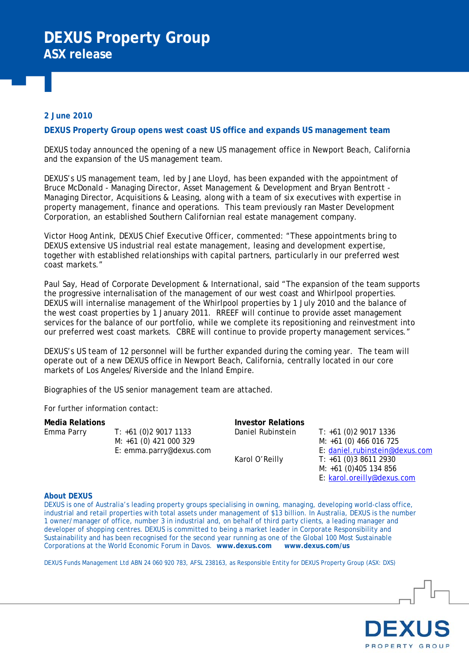# **2 June 2010**

## **DEXUS Property Group opens west coast US office and expands US management team**

DEXUS today announced the opening of a new US management office in Newport Beach, California and the expansion of the US management team.

DEXUS's US management team, led by Jane Lloyd, has been expanded with the appointment of Bruce McDonald - Managing Director, Asset Management & Development and Bryan Bentrott - Managing Director, Acquisitions & Leasing, along with a team of six executives with expertise in property management, finance and operations. This team previously ran Master Development Corporation, an established Southern Californian real estate management company.

Victor Hoog Antink, DEXUS Chief Executive Officer, commented: "These appointments bring to DEXUS extensive US industrial real estate management, leasing and development expertise, together with established relationships with capital partners, particularly in our preferred west coast markets."

Paul Say, Head of Corporate Development & International, said "The expansion of the team supports the progressive internalisation of the management of our west coast and Whirlpool properties. DEXUS will internalise management of the Whirlpool properties by 1 July 2010 and the balance of the west coast properties by 1 January 2011. RREEF will continue to provide asset management services for the balance of our portfolio, while we complete its repositioning and reinvestment into our preferred west coast markets. CBRE will continue to provide property management services."

DEXUS's US team of 12 personnel will be further expanded during the coming year. The team will operate out of a new DEXUS office in Newport Beach, California, centrally located in our core markets of Los Angeles/Riverside and the Inland Empire.

Biographies of the US senior management team are attached.

For further information contact:

| Media Relations |                         | Investor Relations |                                |
|-----------------|-------------------------|--------------------|--------------------------------|
| Emma Parry      | $T: +61(0)290171133$    | Daniel Rubinstein  | $T: +61(0)290171336$           |
|                 | $M: +61(0)$ 421 000 329 |                    | M: +61 (0) 466 016 725         |
|                 | E: emma.parry@dexus.com |                    | E: daniel.rubinstein@dexus.com |
|                 |                         | Karol O'Reilly     | $T: +61(0)386112930$           |
|                 |                         |                    | $M: +61(0)405134856$           |

#### **About DEXUS**

DEXUS is one of Australia's leading property groups specialising in owning, managing, developing world-class office, industrial and retail properties with total assets under management of \$13 billion. In Australia, DEXUS is the number 1 owner/manager of office, number 3 in industrial and, on behalf of third party clients, a leading manager and developer of shopping centres. DEXUS is committed to being a market leader in Corporate Responsibility and Sustainability and has been recognised for the second year running as one of the Global 100 Most Sustainable Corporations at the World Economic Forum in Davos. **www.dexus.com www.dexus.com/us**

DEXUS Funds Management Ltd ABN 24 060 920 783, AFSL 238163, as Responsible Entity for DEXUS Property Group (ASX: DXS)



E: [karol.oreilly@dexus.com](mailto:karol.oreilly@dexus.com)